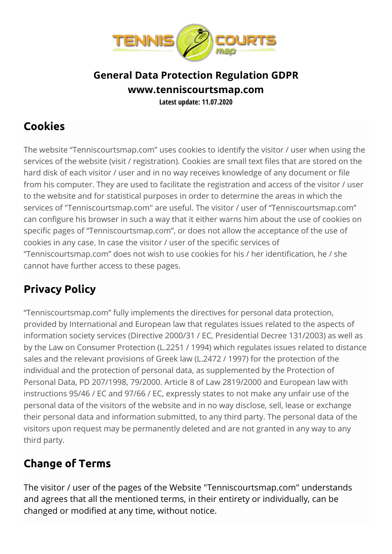

## **General Data Protection Regulation GDPR www.tenniscourtsmap.com Latest update: 11.07.2020**

## **Cookies**

The website "Tenniscourtsmap.com" uses cookies to identify the visitor / user when using the services of the website (visit / registration). Cookies are small text files that are stored on the hard disk of each visitor / user and in no way receives knowledge of any document or file from his computer. They are used to facilitate the registration and access of the visitor / user to the website and for statistical purposes in order to determine the areas in which the services of "Tenniscourtsmap.com" are useful. The visitor / user of "Tenniscourtsmap.com" can configure his browser in such a way that it either warns him about the use of cookies on specific pages of "Tenniscourtsmap.com", or does not allow the acceptance of the use of cookies in any case. In case the visitor / user of the specific services of "Tenniscourtsmap.com" does not wish to use cookies for his / her identification, he / she cannot have further access to these pages.

## **Privacy Policy**

"Tenniscourtsmap.com" fully implements the directives for personal data protection, provided by International and European law that regulates issues related to the aspects of information society services (Directive 2000/31 / EC, Presidential Decree 131/2003) as well as by the Law on Consumer Protection (L.2251 / 1994) which regulates issues related to distance sales and the relevant provisions of Greek law (L.2472 / 1997) for the protection of the individual and the protection of personal data, as supplemented by the Protection of Personal Data, PD 207/1998, 79/2000. Article 8 of Law 2819/2000 and European law with instructions 95/46 / EC and 97/66 / EC, expressly states to not make any unfair use of the personal data of the visitors of the website and in no way disclose, sell, lease or exchange their personal data and information submitted, to any third party. The personal data of the visitors upon request may be permanently deleted and are not granted in any way to any third party.

## **Change of Terms**

The visitor / user of the pages of the Website "Tenniscourtsmap.com" understands and agrees that all the mentioned terms, in their entirety or individually, can be changed or modified at any time, without notice.